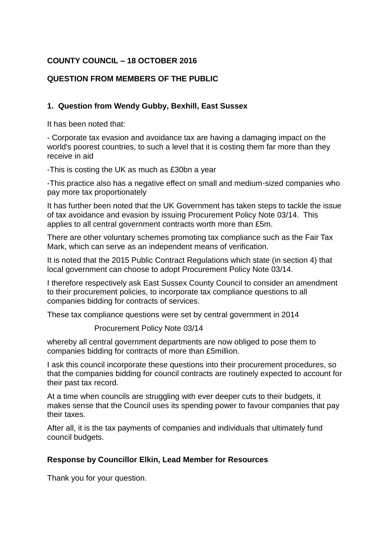## **COUNTY COUNCIL – 18 OCTOBER 2016**

## **QUESTION FROM MEMBERS OF THE PUBLIC**

## **1. Question from Wendy Gubby, Bexhill, East Sussex**

It has been noted that:

- Corporate tax evasion and avoidance tax are having a damaging impact on the world's poorest countries, to such a level that it is costing them far more than they receive in aid

-This is costing the UK as much as £30bn a year

-This practice also has a negative effect on small and medium-sized companies who pay more tax proportionately

It has further been noted that the UK Government has taken steps to tackle the issue of tax avoidance and evasion by issuing Procurement Policy Note 03/14. This applies to all central government contracts worth more than £5m.

There are other voluntary schemes promoting tax compliance such as the Fair Tax Mark, which can serve as an independent means of verification.

It is noted that the 2015 Public Contract Regulations which state (in section 4) that local government can choose to adopt Procurement Policy Note 03/14.

I therefore respectively ask East Sussex County Council to consider an amendment to their procurement policies, to incorporate tax compliance questions to all companies bidding for contracts of services.

These tax compliance questions were set by central government in 2014

Procurement Policy Note 03/14

whereby all central government departments are now obliged to pose them to companies bidding for contracts of more than £5million.

I ask this council incorporate these questions into their procurement procedures, so that the companies bidding for council contracts are routinely expected to account for their past tax record.

At a time when councils are struggling with ever deeper cuts to their budgets, it makes sense that the Council uses its spending power to favour companies that pay their taxes.

After all, it is the tax payments of companies and individuals that ultimately fund council budgets.

## **Response by Councillor Elkin, Lead Member for Resources**

Thank you for your question.